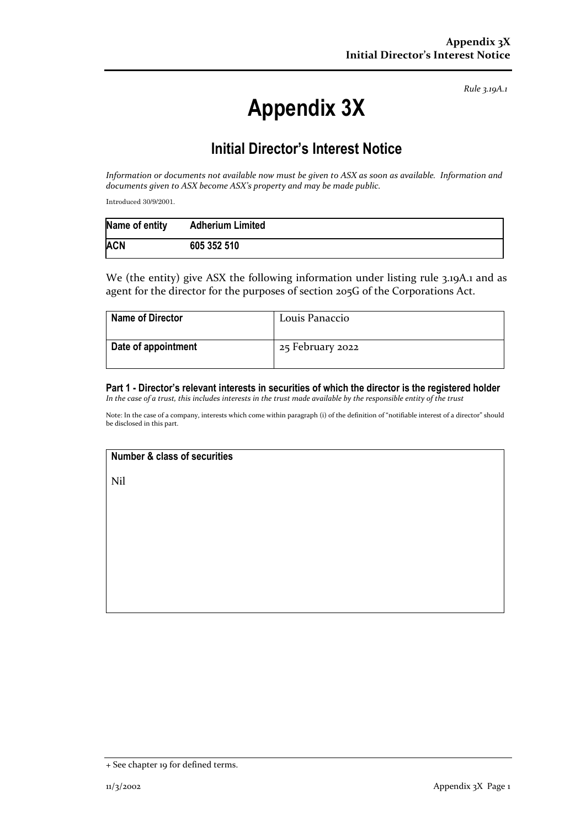*Rule 3.19A.1*

# **Appendix 3X**

## **Initial Director's Interest Notice**

*Information or documents not available now must be given to ASX as soon as available. Information and documents given to ASX become ASX's property and may be made public.*

Introduced 30/9/2001.

| Name of entity | <b>Adherium Limited</b> |
|----------------|-------------------------|
| <b>ACN</b>     | 605 352 510             |

We (the entity) give ASX the following information under listing rule 3.19A.1 and as agent for the director for the purposes of section 205G of the Corporations Act.

| <b>Name of Director</b> | Louis Panaccio   |
|-------------------------|------------------|
| Date of appointment     | 25 February 2022 |

### **Part 1 - Director's relevant interests in securities of which the director is the registered holder**

*In the case of a trust, this includes interests in the trust made available by the responsible entity of the trust*

Note: In the case of a company, interests which come within paragraph (i) of the definition of "notifiable interest of a director" should be disclosed in this part.

#### **Number & class of securities**

Nil

<sup>+</sup> See chapter 19 for defined terms.